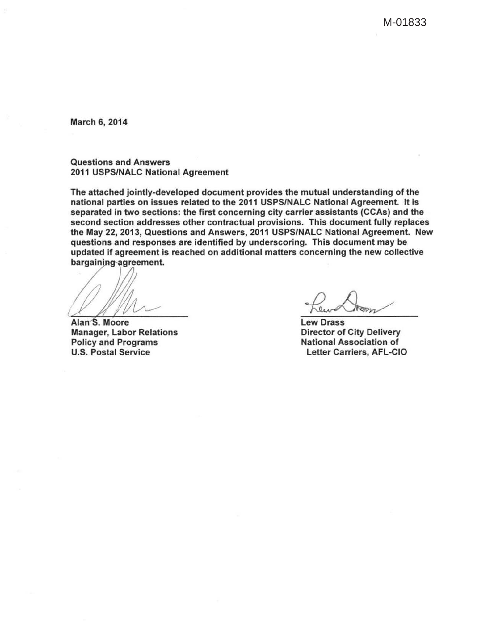M-01833

March 6, 2014

Questions and Answers 2011 USPS/NALC National Agreement

The attached jointly-developed document provides the mutual understanding of the national parties on issues related to the 2011 USPS/NALC National Agreement. It is separated in two sections: the first concerning city carrier assistants (CCAs) and the second section addresses other contractual provisions. This document fully replaces the May 22, 2013, Questions and Answers, 2011 USPS/NALC National Agreement. New questions and responses are identified by underscoring. This document may be updated if agreement is reached on additional matters concerning the new collective bargaining agreement. we Drass<br>explorescent may be<br>more collective<br>ew Drass

Alan<sup>S</sup>. Moore Manager, Labor Relations Policy and Programs U.S. Postal Service

**Lew Drass** Director of City Delivery National Association of Letter Carriers, AFL-CIO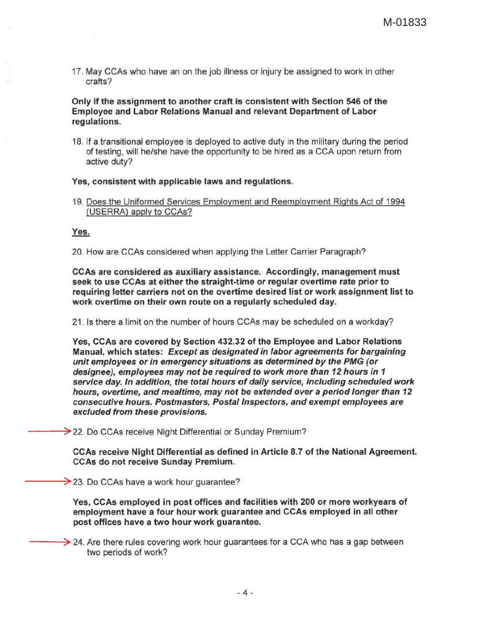17. May CCAs who have an on the job illness or injury be assigned to work in other crafts?

## Only if the assignment to another craft is consistent with Section 546 of the Employee and Labor Relations Manual and relevant Department of Labor regulations.

18. If a transitional employee is deployed to active duty in the military during the period of testing, will he/she have the opportunity to be hired as a CCA upon return from active duty?

## Yes, consistent with applicable laws and regulations.

19. Does the Uniformed Services Employment and Reemployment Rights Act of 1994 (USERRA) apply to CCAs?

## Yes.

20. How are CCAs considered when applying the Letter Carrier Paragraph?

CCAs are considered as auxiliary assistance. Accordingly, management must seek to use CCAs at either the straight-time or regular overtime rate prior to requiring letter carriers not on the overtime desired list or work assignment list to work overtime on their own route on a regularly scheduled day.

21 . Is there a limit on the number of hours CCAs may be scheduled on a workday?

Yes, CCAs are covered by Section 432.32 of the Employee and Labor Relations Manual, which states: Except as designated in labor agreements for bargaining unit employees or in emergency situations as determined by the PMG (or designee), employees may not be required to work more than 12 hours in 1 service day. In addition, the total hours of daily service, including scheduled work hours, overtime, and mealtime, may not be extended over a period longer than 12 consecutive hours. Postmasters, Postal Inspectors, and exempt employees are excluded from these provisions.

 $\rightarrow$  22. Do CCAs receive Night Differential or Sunday Premium?

CCAs receive Night Differential as defined in Article 8. 7 of the National Agreement. CCAs do not receive Sunday Premium.

 $\rightarrow$  23. Do CCAs have a work hour guarantee?

Yes, CCAs employed in post offices and facilities with 200 or more workyears of employment have a four hour work guarantee and CCAs employed in all other post offices have a two hour work guarantee.

 $\rightarrow$  24. Are there rules covering work hour guarantees for a CCA who has a gap between two periods of work?